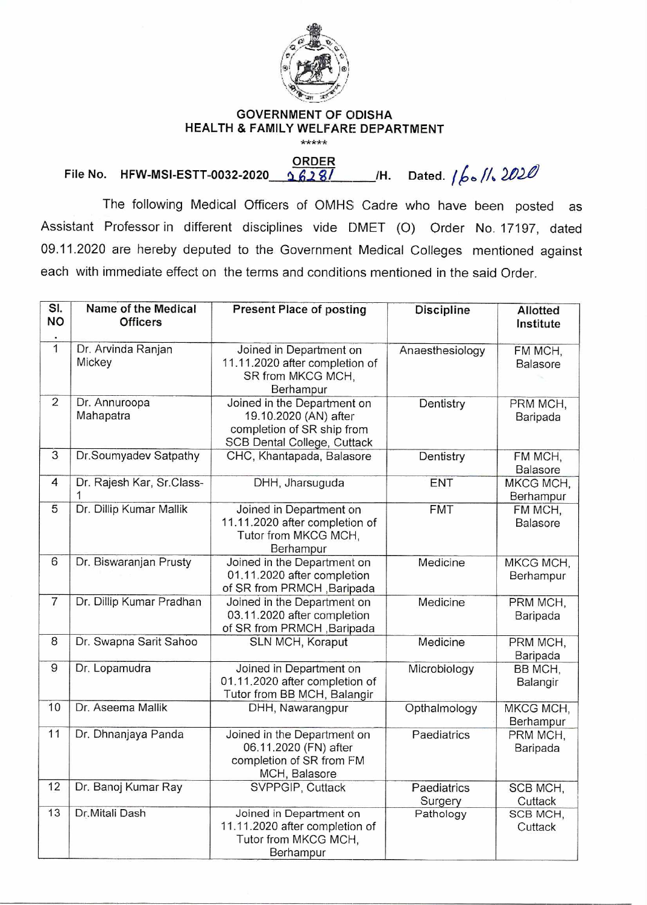

## **GOVERNMENT OF ODISHA HEALTH & FAMILY WELFARE DEPARTMENT**

\*\*\*\*\*

**ORDER**  File No. HFW-MSI-ESTT-0032-2020 2628/ M. Dated.  $1/6$  //2020

The following Medical Officers of OMHS Cadre who have been posted as Assistant Professor in different disciplines vide DMET (0) Order No. 17197, dated 09.11.2020 are hereby deputed to the Government Medical Colleges mentioned against each with immediate effect on the terms and conditions mentioned in the said Order.

| SI.<br><b>NO</b> | Name of the Medical<br><b>Officers</b> | <b>Present Place of posting</b>                                                                                   | <b>Discipline</b>      | <b>Allotted</b><br>Institute |
|------------------|----------------------------------------|-------------------------------------------------------------------------------------------------------------------|------------------------|------------------------------|
| $\overline{1}$   | Dr. Arvinda Ranjan<br>Mickey           | Joined in Department on<br>11.11.2020 after completion of<br>SR from MKCG MCH,<br>Berhampur                       | Anaesthesiology        | FM MCH,<br>Balasore          |
| $\overline{2}$   | Dr. Annuroopa<br>Mahapatra             | Joined in the Department on<br>19.10.2020 (AN) after<br>completion of SR ship from<br>SCB Dental College, Cuttack | Dentistry              | PRM MCH,<br>Baripada         |
| $\overline{3}$   | Dr.Soumyadev Satpathy                  | CHC, Khantapada, Balasore                                                                                         | Dentistry              | FM MCH,<br>Balasore          |
| $\overline{4}$   | Dr. Rajesh Kar, Sr.Class-<br>1         | DHH, Jharsuguda                                                                                                   | ENT                    | MKCG MCH,<br>Berhampur       |
| 5                | Dr. Dillip Kumar Mallik                | Joined in Department on<br>11.11.2020 after completion of<br>Tutor from MKCG MCH,<br>Berhampur                    | <b>FMT</b>             | FM MCH,<br>Balasore          |
| 6                | Dr. Biswaranjan Prusty                 | Joined in the Department on<br>01.11.2020 after completion<br>of SR from PRMCH, Baripada                          | Medicine               | MKCG MCH,<br>Berhampur       |
| $\overline{7}$   | Dr. Dillip Kumar Pradhan               | Joined in the Department on<br>03.11.2020 after completion<br>of SR from PRMCH, Baripada                          | Medicine               | PRM MCH,<br>Baripada         |
| 8                | Dr. Swapna Sarit Sahoo                 | SLN MCH, Koraput                                                                                                  | Medicine               | PRM MCH,<br>Baripada         |
| 9                | Dr. Lopamudra                          | Joined in Department on<br>01.11.2020 after completion of<br>Tutor from BB MCH, Balangir                          | Microbiology           | BB MCH,<br>Balangir          |
| 10               | Dr. Aseema Mallik                      | DHH, Nawarangpur                                                                                                  | Opthalmology           | MKCG MCH,<br>Berhampur       |
| 11               | Dr. Dhnanjaya Panda                    | Joined in the Department on<br>06.11.2020 (FN) after<br>completion of SR from FM<br>MCH, Balasore                 | Paediatrics            | PRM MCH,<br>Baripada         |
| 12               | Dr. Banoj Kumar Ray                    | SVPPGIP, Cuttack                                                                                                  | Paediatrics<br>Surgery | SCB MCH,<br>Cuttack          |
| 13               | Dr.Mitali Dash                         | Joined in Department on<br>11.11.2020 after completion of<br>Tutor from MKCG MCH,<br>Berhampur                    | Pathology              | SCB MCH,<br>Cuttack          |